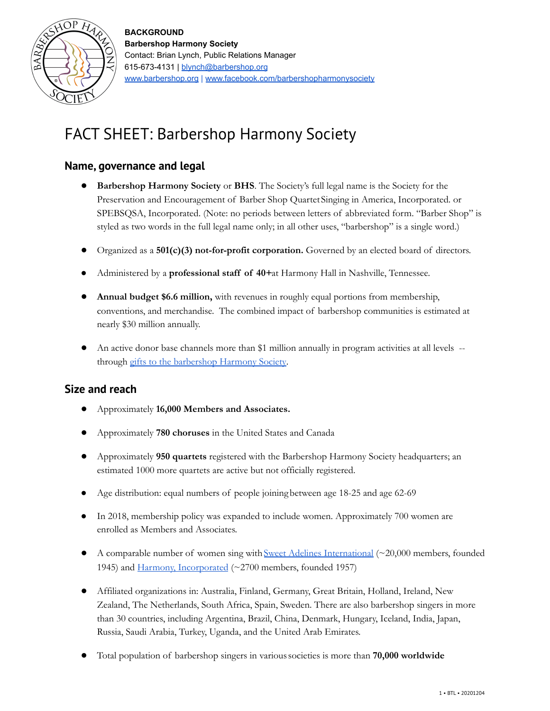

# FACT SHEET: Barbershop Harmony Society

## **Name, governance and legal**

- **Barbershop Harmony Society** or **BHS**. The Society's full legal name is the Society for the Preservation and Encouragement of Barber Shop QuartetSinging in America, Incorporated. or SPEBSQSA, Incorporated. (Note: no periods between letters of abbreviated form. "Barber Shop" is styled as two words in the full legal name only; in all other uses, "barbershop" is a single word.)
- Organized as a **501(c)(3) not-for-profit corporation.** Governed by an elected board of directors.
- Administered by a **professional staff of 40+**at Harmony Hall in Nashville, Tennessee.
- **Annual budget \$6.6 million,** with revenues in roughly equal portions from membership, conventions, and merchandise. The combined impact of barbershop communities is estimated at nearly \$30 million annually.
- An active donor base channels more than \$1 million annually in program activities at all levels -through gifts to the [barbershop](https://give.barbershop.org/) Harmony Society.

## **Size and reach**

- Approximately **16,000 Members and Associates.**
- Approximately **780 choruses** in the United States and Canada
- Approximately **950 quartets** registered with the Barbershop Harmony Society headquarters; an estimated 1000 more quartets are active but not officially registered.
- Age distribution: equal numbers of people joining between age 18-25 and age 62-69
- In 2018, membership policy was expanded to include women. Approximately 700 women are enrolled as Members and Associates.
- $\bullet$  A comparable number of women sing with Sweet Adelines [International](https://sweetadelines.com/) ( $\sim$ 20,000 members, founded 1945) and Harmony, [Incorporated](https://www.harmonyinc.org/) (~2700 members, founded 1957)
- Affiliated organizations in: Australia, Finland, Germany, Great Britain, Holland, Ireland, New Zealand, The Netherlands, South Africa, Spain, Sweden. There are also barbershop singers in more than 30 countries, including Argentina, Brazil, China, Denmark, Hungary, Iceland, India, Japan, Russia, Saudi Arabia, Turkey, Uganda, and the United Arab Emirates.
- Total population of barbershop singers in varioussocieties is more than **70,000 worldwide**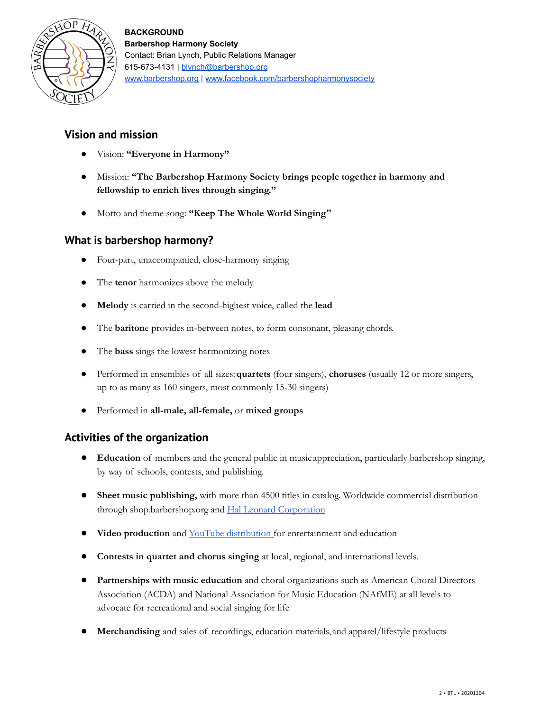

## **Vision and mission**

- Vision: **"Everyone in Harmony"**
- Mission: **"The Barbershop Harmony Society brings people together in harmony and fellowship to enrich lives through singing."**
- Motto and theme song: **"Keep The Whole World Singing"**

## **What is barbershop harmony?**

- Four-part, unaccompanied, close-harmony singing
- The **tenor** harmonizes above the melody
- **Melody** is carried in the second-highest voice, called the **lead**
- The **bariton**e provides in-between notes, to form consonant, pleasing chords.
- The **bass** sings the lowest harmonizing notes
- Performed in ensembles of all sizes:**quartets** (four singers), **choruses** (usually 12 or more singers, up to as many as 160 singers, most commonly 15-30 singers)
- Performed in **all-male, all-female,** or **mixed groups**

## **Activities of the organization**

- **Education** of members and the general public in music appreciation, particularly barbershop singing, by way of schools, contests, and publishing.
- **•** Sheet music publishing, with more than 4500 titles in catalog. Worldwide commercial distribution through shop.barbershop.org and Hal Leonard [Corporation](https://www.halleonard.com/search/search.action?_c&keywords=barbershop&subsiteid=1&sorttype=date&page=1)
- **Video production** and YouTube [distribution](http://www.youtube.com/BarbershopHarmony38) for entertainment and education
- **Contests in quartet and chorus singing** at local, regional, and international levels.
- **Partnerships with music education** and choral organizations such as American Choral Directors Association (ACDA) and National Association for Music Education (NAfME) at all levels to advocate for recreational and social singing for life
- Merchandising and sales of recordings, education materials, and apparel/lifestyle products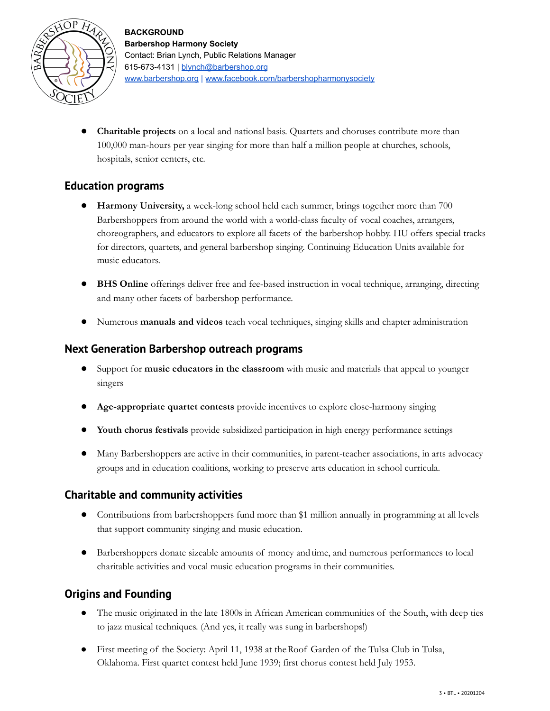

**Charitable projects** on a local and national basis. Quartets and choruses contribute more than 100,000 man-hours per year singing for more than half a million people at churches, schools, hospitals, senior centers, etc.

### **Education programs**

- **Harmony University,** a week-long school held each summer, brings together more than 700 Barbershoppers from around the world with a world-class faculty of vocal coaches, arrangers, choreographers, and educators to explore all facets of the barbershop hobby. HU offers special tracks for directors, quartets, and general barbershop singing. Continuing Education Units available for music educators.
- **BHS Online** offerings deliver free and fee-based instruction in vocal technique, arranging, directing and many other facets of barbershop performance.
- Numerous **manuals and videos** teach vocal techniques, singing skills and chapter administration

#### **Next Generation Barbershop outreach programs**

- Support for **music educators in the classroom** with music and materials that appeal to younger singers
- **Age-appropriate quartet contests** provide incentives to explore close-harmony singing
- **Youth chorus festivals** provide subsidized participation in high energy performance settings
- Many Barbershoppers are active in their communities, in parent-teacher associations, in arts advocacy groups and in education coalitions, working to preserve arts education in school curricula.

#### **Charitable and community activities**

- Contributions from barbershoppers fund more than \$1 million annually in programming at all levels that support community singing and music education.
- Barbershoppers donate sizeable amounts of money andtime, and numerous performances to local charitable activities and vocal music education programs in their communities.

## **Origins and Founding**

- The music originated in the late 1800s in African American communities of the South, with deep ties to jazz musical techniques. (And yes, it really was sung in barbershops!)
- First meeting of the Society: April 11, 1938 at theRoof Garden of the Tulsa Club in Tulsa, Oklahoma. First quartet contest held June 1939; first chorus contest held July 1953.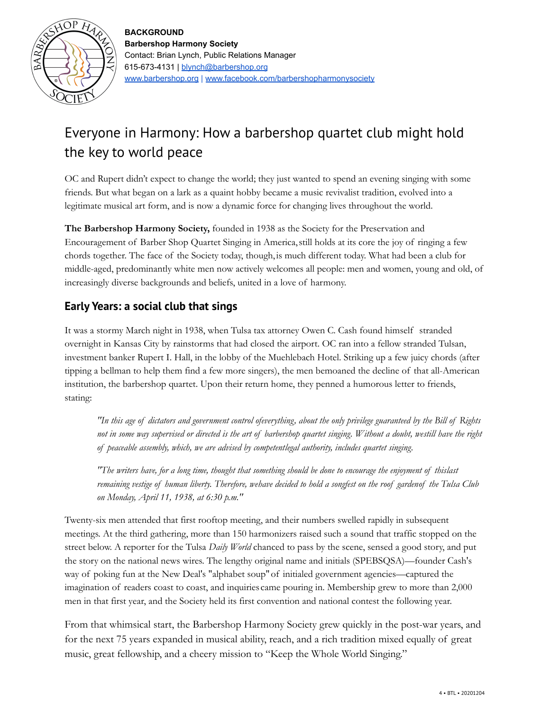

## Everyone in Harmony: How a barbershop quartet club might hold the key to world peace

OC and Rupert didn't expect to change the world; they just wanted to spend an evening singing with some friends. But what began on a lark as a quaint hobby became a music revivalist tradition, evolved into a legitimate musical art form, and is now a dynamic force for changing lives throughout the world.

**The Barbershop Harmony Society,** founded in 1938 as the Society for the Preservation and Encouragement of Barber Shop Quartet Singing in America,still holds at its core the joy of ringing a few chords together. The face of the Society today, though, is much different today. What had been a club for middle-aged, predominantly white men now actively welcomes all people: men and women, young and old, of increasingly diverse backgrounds and beliefs, united in a love of harmony.

## **Early Years: a social club that sings**

It was a stormy March night in 1938, when Tulsa tax attorney Owen C. Cash found himself stranded overnight in Kansas City by rainstorms that had closed the airport. OC ran into a fellow stranded Tulsan, investment banker Rupert I. Hall, in the lobby of the Muehlebach Hotel. Striking up a few juicy chords (after tipping a bellman to help them find a few more singers), the men bemoaned the decline of that all-American institution, the barbershop quartet. Upon their return home, they penned a humorous letter to friends, stating:

"In this age of dictators and government control ofeverything, about the only privilege guaranteed by the Bill of Rights not in some way supervised or directed is the art of barbershop quartet singing. Without a doubt, westill have the right *of peaceable assembly, which, we are advised by competentlegal authority, includes quartet singing.*

"The writers have, for a long time, thought that something should be done to encourage the enjoyment of thislast remaining vestige of human liberty. Therefore, wehave decided to hold a songfest on the roof gardenof the Tulsa Club *on Monday, April 11, 1938, at 6:30 p.m."*

Twenty-six men attended that first rooftop meeting, and their numbers swelled rapidly in subsequent meetings. At the third gathering, more than 150 harmonizers raised such a sound that traffic stopped on the street below. A reporter for the Tulsa *Daily World* chanced to pass by the scene, sensed a good story, and put the story on the national news wires. The lengthy original name and initials (SPEBSQSA)—founder Cash's way of poking fun at the New Deal's "alphabet soup"of initialed government agencies—captured the imagination of readers coast to coast, and inquiries came pouring in. Membership grew to more than 2,000 men in that first year, and the Society held its first convention and national contest the following year.

From that whimsical start, the Barbershop Harmony Society grew quickly in the post-war years, and for the next 75 years expanded in musical ability, reach, and a rich tradition mixed equally of great music, great fellowship, and a cheery mission to "Keep the Whole World Singing."